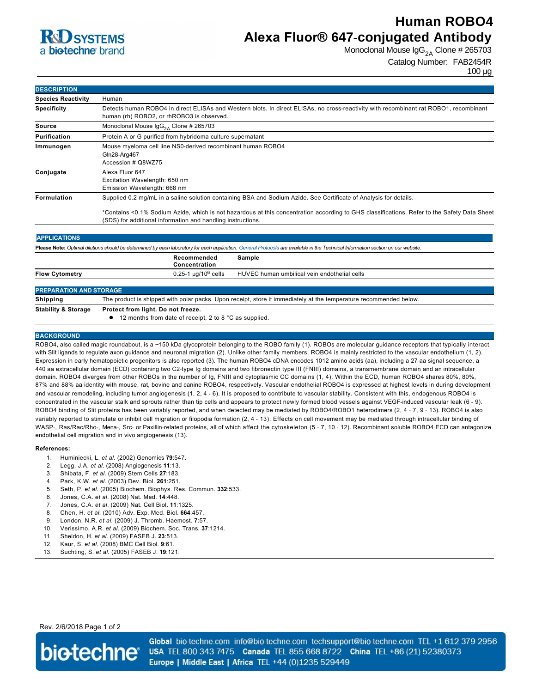

## **Human ROBO4 Alexa Fluor® 647-conjugated Antibody**

Monoclonal Mouse  $\lg G_{2A}$  Clone # 265703

```
Catalog Number: FAB2454R
```
100 µg

| <b>DESCRIPTION</b>                                                                                                                                                                |                                                                                                                                                                                                                                                                                                                                 |
|-----------------------------------------------------------------------------------------------------------------------------------------------------------------------------------|---------------------------------------------------------------------------------------------------------------------------------------------------------------------------------------------------------------------------------------------------------------------------------------------------------------------------------|
| <b>Species Reactivity</b>                                                                                                                                                         | Human                                                                                                                                                                                                                                                                                                                           |
| <b>Specificity</b>                                                                                                                                                                | Detects human ROBO4 in direct ELISAs and Western blots. In direct ELISAs, no cross-reactivity with recombinant rat ROBO1, recombinant<br>human (rh) ROBO2, or rhROBO3 is observed.                                                                                                                                              |
| <b>Source</b>                                                                                                                                                                     | Monoclonal Mouse $\text{lgG}_{24}$ Clone # 265703                                                                                                                                                                                                                                                                               |
| Purification                                                                                                                                                                      | Protein A or G purified from hybridoma culture supernatant                                                                                                                                                                                                                                                                      |
| Immunogen                                                                                                                                                                         | Mouse myeloma cell line NS0-derived recombinant human ROBO4<br>Gln28-Arg467<br>Accession # Q8WZ75                                                                                                                                                                                                                               |
| Conjugate                                                                                                                                                                         | Alexa Fluor 647<br>Excitation Wavelength: 650 nm<br>Emission Wavelength: 668 nm                                                                                                                                                                                                                                                 |
| Formulation                                                                                                                                                                       | Supplied 0.2 mg/mL in a saline solution containing BSA and Sodium Azide. See Certificate of Analysis for details.<br>*Contains <0.1% Sodium Azide, which is not hazardous at this concentration according to GHS classifications. Refer to the Safety Data Sheet<br>(SDS) for additional information and handling instructions. |
| <b>APPLICATIONS</b>                                                                                                                                                               |                                                                                                                                                                                                                                                                                                                                 |
| Please Note: Optimal dilutions should be determined by each laboratory for each application. General Protocols are available in the Technical Information section on our website. |                                                                                                                                                                                                                                                                                                                                 |
|                                                                                                                                                                                   | Recommended<br>Sample<br>Concentration                                                                                                                                                                                                                                                                                          |
| <b>Flow Cytometry</b>                                                                                                                                                             | $0.25 - 1$ µg/10 <sup>6</sup> cells<br>HUVEC human umbilical vein endothelial cells                                                                                                                                                                                                                                             |
| <b>PREPARATION AND STORAGE</b>                                                                                                                                                    |                                                                                                                                                                                                                                                                                                                                 |
| Shipping                                                                                                                                                                          | The product is shipped with polar packs. Upon receipt, store it immediately at the temperature recommended below.                                                                                                                                                                                                               |
| <b>Stability &amp; Storage</b>                                                                                                                                                    | Protect from light. Do not freeze.                                                                                                                                                                                                                                                                                              |
|                                                                                                                                                                                   | 12 months from date of receipt, 2 to 8 °C as supplied.                                                                                                                                                                                                                                                                          |

#### **BACKGROUND**

ROBO4, also called magic roundabout, is a ~150 kDa glycoprotein belonging to the ROBO family (1). ROBOs are molecular guidance receptors that typically interact with Slit ligands to regulate axon guidance and neuronal migration (2). Unlike other family members, ROBO4 is mainly restricted to the vascular endothelium (1, 2). Expression in early hematopoietic progenitors is also reported (3). The human ROBO4 cDNA encodes 1012 amino acids (aa), including a 27 aa signal sequence, a 440 aa extracellular domain (ECD) containing two C2type Ig domains and two fibronectin type III (FNIII) domains, a transmembrane domain and an intracellular domain. ROBO4 diverges from other ROBOs in the number of Ig, FNIII and cytoplasmic CC domains (1, 4). Within the ECD, human ROBO4 shares 80%, 80%, 87% and 88% aa identity with mouse, rat, bovine and canine ROBO4, respectively. Vascular endothelial ROBO4 is expressed at highest levels in during development and vascular remodeling, including tumor angiogenesis (1, 2, 4 6). It is proposed to contribute to vascular stability. Consistent with this, endogenous ROBO4 is concentrated in the vascular stalk and sprouts rather than tip cells and appears to protect newly formed blood vessels against VEGF-induced vascular leak (6 - 9). ROBO4 binding of Slit proteins has been variably reported, and when detected may be mediated by ROBO4/ROBO1 heterodimers (2, 4 - 7, 9 - 13). ROBO4 is also variably reported to stimulate or inhibit cell migration or filopodia formation (2, 4 - 13). Effects on cell movement may be mediated through intracellular binding of WASP-, Ras/Rac/Rho-, Mena-, Src- or Paxillin-related proteins, all of which affect the cytoskeleton (5 - 7, 10 - 12). Recombinant soluble ROBO4 ECD can antagonize endothelial cell migration and in vivo angiogenesis (13).

#### **References:**

- 1. Huminiecki, L. *et al.* (2002) Genomics **79**:547.
- 2. Legg, J.A. *et al.* (2008) Angiogenesis **11**:13.
- 3. Shibata, F. *et al.* (2009) Stem Cells **27**:183.
- 4. Park, K.W. *et al.* (2003) Dev. Biol. **261**:251.
- 5. Seth, P. *et al.* (2005) Biochem. Biophys. Res. Commun. **332**:533.
- 6. Jones, C.A. *et al.* (2008) Nat. Med. **14**:448.
- 7. Jones, C.A. *et al.* (2009) Nat. Cell Biol. **11**:1325.
- 8. Chen, H. *et al.* (2010) Adv. Exp. Med. Biol. **664**:457.
- 9. London, N.R. *et al.* (2009) J. Thromb. Haemost. **7**:57.
- 10. Verissimo, A.R. *et al.* (2009) Biochem. Soc. Trans. **37**:1214.
- 11. Sheldon, H. *et al.* (2009) FASEB J. **23**:513.
- 12. Kaur, S. *et al.* (2008) BMC Cell Biol. **9**:61.
- 13. Suchting, S. *et al.* (2005) FASEB J. **19**:121.

Rev. 2/6/2018 Page 1 of 2



Global bio-techne.com info@bio-techne.com techsupport@bio-techne.com TEL +1 612 379 2956 USA TEL 800 343 7475 Canada TEL 855 668 8722 China TEL +86 (21) 52380373 Europe | Middle East | Africa TEL +44 (0)1235 529449